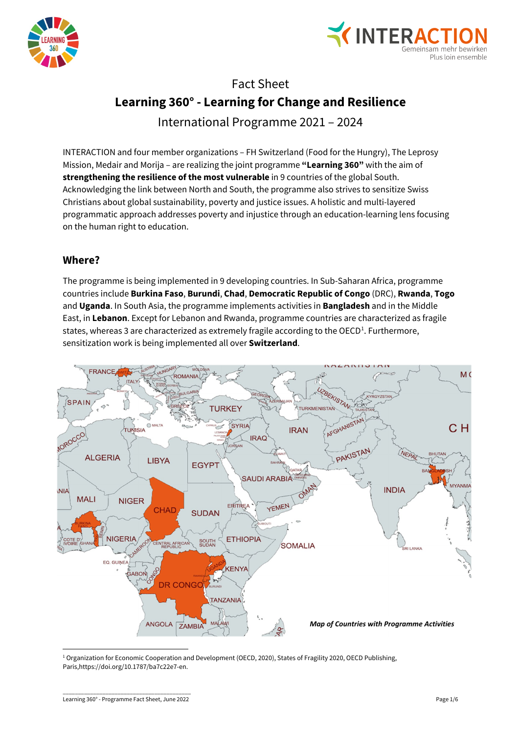



# Fact Sheet **Learning 360° - Learning for Change and Resilience**

International Programme 2021 – 2024

INTERACTION and four member organizations – FH Switzerland (Food for the Hungry), The Leprosy Mission, Medair and Morija – are realizing the joint programme **"Learning 360"** with the aim of **strengthening the resilience of the most vulnerable** in 9 countries of the global South. Acknowledging the link between North and South, the programme also strives to sensitize Swiss Christians about global sustainability, poverty and justice issues. A holistic and multi-layered programmatic approach addresses poverty and injustice through an education-learning lens focusing on the human right to education.

# **Where?**

The programme is being implemented in 9 developing countries. In Sub-Saharan Africa, programme countries include **Burkina Faso**, **Burundi**, **Chad**, **Democratic Republic of Congo** (DRC), **Rwanda**, **Togo** and **Uganda**. In South Asia, the programme implements activities in **Bangladesh** and in the Middle East, in **Lebanon**. Except for Lebanon and Rwanda, programme countries are characterized as fragile states, whereas 3 are characterized as extremely fragile according to the OECD<sup>[1](#page-0-0)</sup>. Furthermore, sensitization work is being implemented all over **Switzerland**.



<span id="page-0-0"></span><sup>1</sup> Organization for Economic Cooperation and Development (OECD, 2020), States of Fragility 2020, OECD Publishing, Paris,https://doi.org/10.1787/ba7c22e7-en.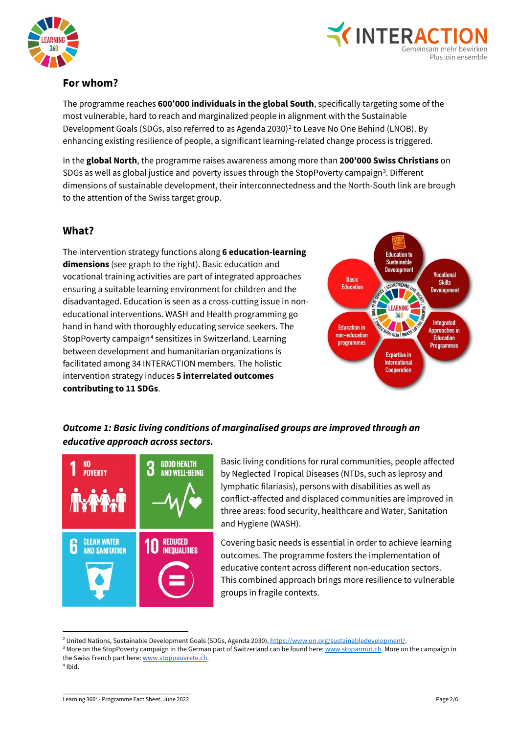



## **For whom?**

The programme reaches **600'000 individuals in the global South**, specifically targeting some of the most vulnerable, hard to reach and marginalized people in alignment with the Sustainable Development Goals (SDGs, also referred to as Agenda [2](#page-1-0)030)<sup>2</sup> to Leave No One Behind (LNOB). By enhancing existing resilience of people, a significant learning-related change process is triggered.

In the **global North**, the programme raises awareness among more than **200'000 Swiss Christians** on SDGs as well as global justice and poverty issues through the StopPoverty campaign<sup>[3](#page-1-1)</sup>. Different dimensions of sustainable development, their interconnectedness and the North-South link are brough to the attention of the Swiss target group.

#### **What?**

The intervention strategy functions along **6 education-learning dimensions** (see graph to the right). Basic education and vocational training activities are part of integrated approaches ensuring a suitable learning environment for children and the disadvantaged. Education is seen as a cross-cutting issue in noneducational interventions. WASH and Health programming go hand in hand with thoroughly educating service seekers. The StopPoverty campaign<sup>[4](#page-1-2)</sup> sensitizes in Switzerland. Learning between development and humanitarian organizations is facilitated among 34 INTERACTION members. The holistic intervention strategy induces **5 interrelated outcomes contributing to 11 SDGs**.



## *Outcome 1: Basic living conditions of marginalised groups are improved through an educative approach across sectors.*



Basic living conditions for rural communities, people affected by Neglected Tropical Diseases (NTDs, such as leprosy and lymphatic filariasis), persons with disabilities as well as conflict-affected and displaced communities are improved in three areas: food security, healthcare and Water, Sanitation and Hygiene (WASH).

Covering basic needs is essential in order to achieve learning outcomes. The programme fosters the implementation of educative content across different non-education sectors. This combined approach brings more resilience to vulnerable groups in fragile contexts.

**<sup>.</sup>** 

<span id="page-1-2"></span><span id="page-1-1"></span><span id="page-1-0"></span><sup>&</sup>lt;sup>2</sup> United Nations, Sustainable Development Goals (SDGs, Agenda 2030)[, https://www.un.org/sustainabledevelopment/.](https://www.un.org/sustainabledevelopment/)<br><sup>3</sup> More on the StopPoverty campaign in the German part of Switzerland can be found here: <u>www.stoparmut.ch</u> the Swiss French part here: www.stoppauvrete.ch.  $4$ Ibid.

\_\_\_\_\_\_\_\_\_\_\_\_\_\_\_\_\_\_\_\_\_\_\_\_\_\_\_\_\_\_\_\_\_\_\_\_\_\_\_\_\_\_ Learning 360° - Programme Fact Sheet, June 2022 Page 2/6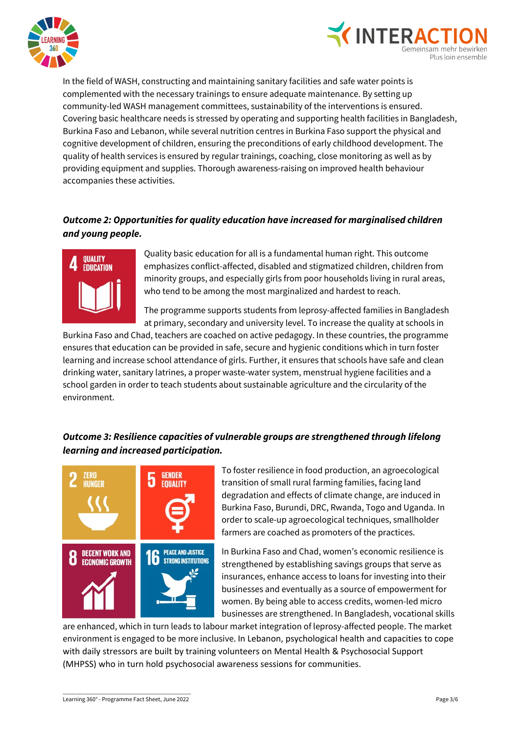



In the field of WASH, constructing and maintaining sanitary facilities and safe water points is complemented with the necessary trainings to ensure adequate maintenance. By setting up community-led WASH management committees, sustainability of the interventions is ensured. Covering basic healthcare needs is stressed by operating and supporting health facilities in Bangladesh, Burkina Faso and Lebanon, while several nutrition centres in Burkina Faso support the physical and cognitive development of children, ensuring the preconditions of early childhood development. The quality of health services is ensured by regular trainings, coaching, close monitoring as well as by providing equipment and supplies. Thorough awareness-raising on improved health behaviour accompanies these activities.

## *Outcome 2: Opportunities for quality education have increased for marginalised children and young people.*



Quality basic education for all is a fundamental human right. This outcome emphasizes conflict-affected, disabled and stigmatized children, children from minority groups, and especially girls from poor households living in rural areas, who tend to be among the most marginalized and hardest to reach.

The programme supports students from leprosy-affected families in Bangladesh at primary, secondary and university level. To increase the quality at schools in

Burkina Faso and Chad, teachers are coached on active pedagogy. In these countries, the programme ensures that education can be provided in safe, secure and hygienic conditions which in turn foster learning and increase school attendance of girls. Further, it ensures that schools have safe and clean drinking water, sanitary latrines, a proper waste-water system, menstrual hygiene facilities and a school garden in order to teach students about sustainable agriculture and the circularity of the environment.

## *Outcome 3: Resilience capacities of vulnerable groups are strengthened through lifelong learning and increased participation.*



To foster resilience in food production, an agroecological transition of small rural farming families, facing land degradation and effects of climate change, are induced in Burkina Faso, Burundi, DRC, Rwanda, Togo and Uganda. In order to scale-up agroecological techniques, smallholder farmers are coached as promoters of the practices.

In Burkina Faso and Chad, women's economic resilience is strengthened by establishing savings groups that serve as insurances, enhance access to loans for investing into their businesses and eventually as a source of empowerment for women. By being able to access credits, women-led micro businesses are strengthened. In Bangladesh, vocational skills

are enhanced, which in turn leads to labour market integration of leprosy-affected people. The market environment is engaged to be more inclusive. In Lebanon, psychological health and capacities to cope with daily stressors are built by training volunteers on Mental Health & Psychosocial Support (MHPSS) who in turn hold psychosocial awareness sessions for communities.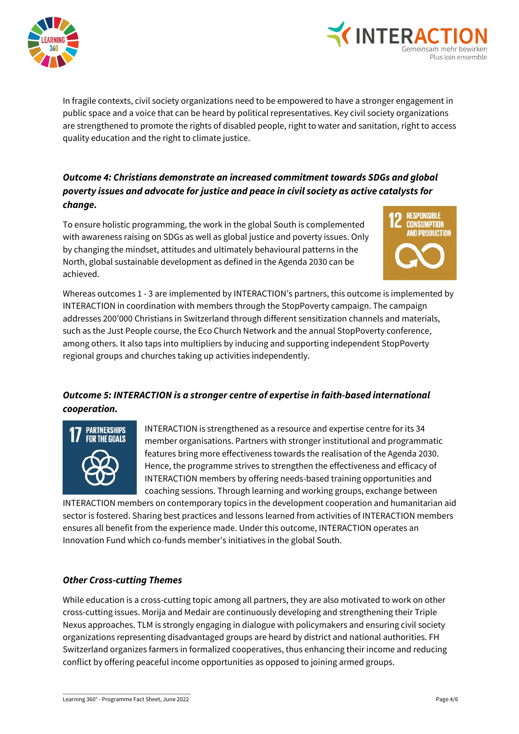



In fragile contexts, civil society organizations need to be empowered to have a stronger engagement in public space and a voice that can be heard by political representatives. Key civil society organizations are strengthened to promote the rights of disabled people, right to water and sanitation, right to access quality education and the right to climate justice.

## *Outcome 4: Christians demonstrate an increased commitment towards SDGs and global poverty issues and advocate for justice and peace in civil society as active catalysts for change.*

To ensure holistic programming, the work in the global South is complemented with awareness raising on SDGs as well as global justice and poverty issues. Only by changing the mindset, attitudes and ultimately behavioural patterns in the North, global sustainable development as defined in the Agenda 2030 can be achieved.



Whereas outcomes 1 - 3 are implemented by INTERACTION's partners, this outcome is implemented by INTERACTION in coordination with members through the StopPoverty campaign. The campaign addresses 200'000 Christians in Switzerland through different sensitization channels and materials, such as the Just People course, the Eco Church Network and the annual StopPoverty conference, among others. It also taps into multipliers by inducing and supporting independent StopPoverty regional groups and churches taking up activities independently.

# *Outcome 5: INTERACTION is a stronger centre of expertise in faith-based international cooperation.*



INTERACTION is strengthened as a resource and expertise centre for its 34 member organisations. Partners with stronger institutional and programmatic features bring more effectiveness towards the realisation of the Agenda 2030. Hence, the programme strives to strengthen the effectiveness and efficacy of INTERACTION members by offering needs-based training opportunities and coaching sessions. Through learning and working groups, exchange between

INTERACTION members on contemporary topics in the development cooperation and humanitarian aid sector is fostered. Sharing best practices and lessons learned from activities of INTERACTION members ensures all benefit from the experience made. Under this outcome, INTERACTION operates an Innovation Fund which co-funds member's initiatives in the global South.

#### *Other Cross-cutting Themes*

While education is a cross-cutting topic among all partners, they are also motivated to work on other cross-cutting issues. Morija and Medair are continuously developing and strengthening their Triple Nexus approaches. TLM is strongly engaging in dialogue with policymakers and ensuring civil society organizations representing disadvantaged groups are heard by district and national authorities. FH Switzerland organizes farmers in formalized cooperatives, thus enhancing their income and reducing conflict by offering peaceful income opportunities as opposed to joining armed groups.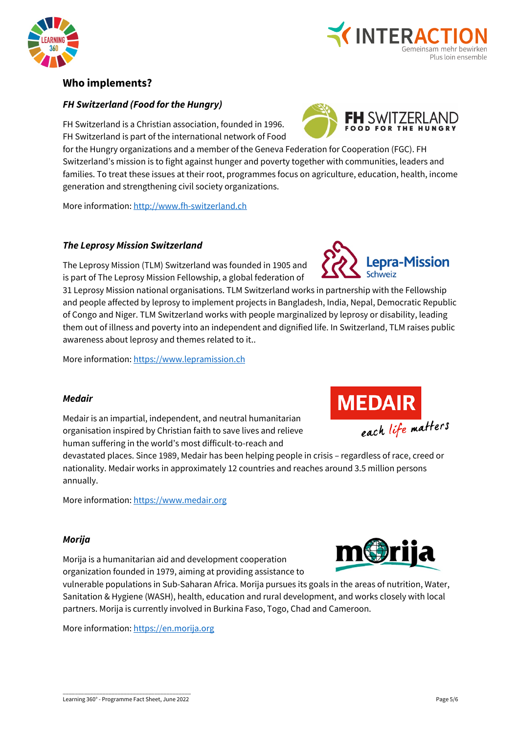



## **Who implements?**

#### *FH Switzerland (Food for the Hungry)*

FH Switzerland is a Christian association, founded in 1996. FH Switzerland is part of the international network of Food

for the Hungry organizations and a member of the Geneva Federation for Cooperation (FGC). FH Switzerland's mission is to fight against hunger and poverty together with communities, leaders and families. To treat these issues at their root, programmes focus on agriculture, education, health, income generation and strengthening civil society organizations.

More information[: http://www.fh-switzerland.ch](http://www.fh-switzerland.ch/en/)

#### *The Leprosy Mission Switzerland*

The Leprosy Mission (TLM) Switzerland was founded in 1905 and is part of The Leprosy Mission Fellowship, a global federation of

31 Leprosy Mission national organisations. TLM Switzerland works in partnership with the Fellowship and people affected by leprosy to implement projects in Bangladesh, India, Nepal, Democratic Republic of Congo and Niger. TLM Switzerland works with people marginalized by leprosy or disability, leading them out of illness and poverty into an independent and dignified life. In Switzerland, TLM raises public awareness about leprosy and themes related to it..

More information[: https://www.lepramission.ch](https://www.lepramission.ch/home/)

#### *Medair*

Medair is an impartial, independent, and neutral humanitarian organisation inspired by Christian faith to save lives and relieve human suffering in the world's most difficult-to-reach and

devastated places. Since 1989, Medair has been helping people in crisis – regardless of race, creed or nationality. Medair works in approximately 12 countries and reaches around 3.5 million persons annually.

More information[: https://www.medair.org](https://www.medair.org/) 

#### *Morija*

Morija is a humanitarian aid and development cooperation organization founded in 1979, aiming at providing assistance to

vulnerable populations in Sub-Saharan Africa. Morija pursues its goals in the areas of nutrition, Water, Sanitation & Hygiene (WASH), health, education and rural development, and works closely with local partners. Morija is currently involved in Burkina Faso, Togo, Chad and Cameroon.

More information[: https://en.morija.org](https://en.morija.org/)



epra-Mission